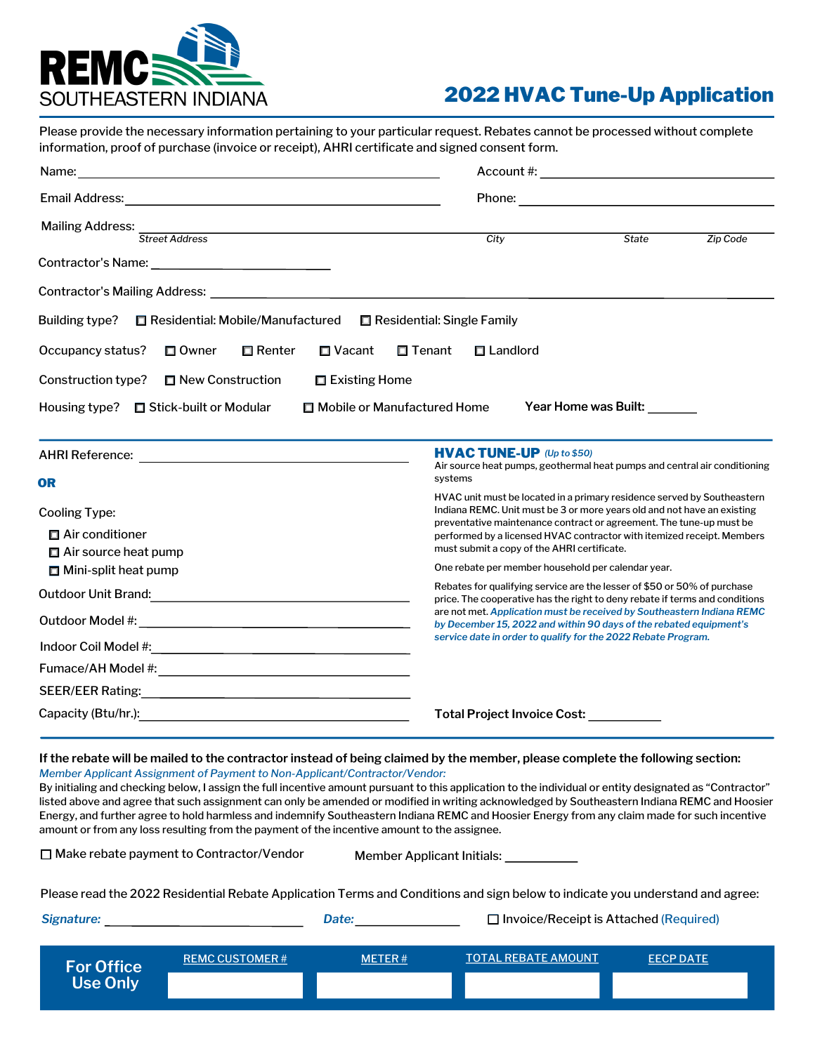

## 2022 HVAC Tune-Up Application

Please provide the necessary information pertaining to your particular request. Rebates cannot be processed without complete information, proof of purchase (invoice or receipt), AHRI certificate and signed consent form.

| Name:<br><u> 1980 - Jan Sterling av den større og større og større og større og større og større og større og s</u>                                                                                                            |                                                                                                                                                                                                                                                                                                                                                    |                                                                           |  |
|--------------------------------------------------------------------------------------------------------------------------------------------------------------------------------------------------------------------------------|----------------------------------------------------------------------------------------------------------------------------------------------------------------------------------------------------------------------------------------------------------------------------------------------------------------------------------------------------|---------------------------------------------------------------------------|--|
| Email Address: No. 1996. The Contract of the Contract of the Contract of the Contract of the Contract of the Contract of the Contract of the Contract of the Contract of the Contract of the Contract of the Contract of the C |                                                                                                                                                                                                                                                                                                                                                    |                                                                           |  |
| Mailing Address:<br><b>Street Address</b>                                                                                                                                                                                      | City                                                                                                                                                                                                                                                                                                                                               | <b>State</b><br>Zip Code                                                  |  |
|                                                                                                                                                                                                                                |                                                                                                                                                                                                                                                                                                                                                    |                                                                           |  |
| Contractor's Mailing Address: William School School School School School School School School School School School School School School School School School School School School School School School School School School Sc |                                                                                                                                                                                                                                                                                                                                                    |                                                                           |  |
| Residential: Mobile/Manufactured<br>Building type?                                                                                                                                                                             | Residential: Single Family                                                                                                                                                                                                                                                                                                                         |                                                                           |  |
| Occupancy status?<br>□ Owner<br>$\Box$ Renter<br>□ Vacant                                                                                                                                                                      | □ Tenant<br>$\Box$ Landlord                                                                                                                                                                                                                                                                                                                        |                                                                           |  |
| Construction type?<br>□ New Construction<br>□ Existing Home                                                                                                                                                                    |                                                                                                                                                                                                                                                                                                                                                    |                                                                           |  |
| Mobile or Manufactured Home<br>Stick-built or Modular<br>Housing type?                                                                                                                                                         |                                                                                                                                                                                                                                                                                                                                                    | Year Home was Built:                                                      |  |
|                                                                                                                                                                                                                                | <b>HVAC TUNE-UP</b> (Up to \$50)<br>systems                                                                                                                                                                                                                                                                                                        | Air source heat pumps, geothermal heat pumps and central air conditioning |  |
| OR<br><b>Cooling Type:</b><br>$\Box$ Air conditioner<br>$\Box$ Air source heat pump                                                                                                                                            | HVAC unit must be located in a primary residence served by Southeastern<br>Indiana REMC. Unit must be 3 or more years old and not have an existing<br>preventative maintenance contract or agreement. The tune-up must be<br>performed by a licensed HVAC contractor with itemized receipt. Members<br>must submit a copy of the AHRI certificate. |                                                                           |  |
| $\Box$ Mini-split heat pump                                                                                                                                                                                                    | One rebate per member household per calendar year.                                                                                                                                                                                                                                                                                                 |                                                                           |  |
| Outdoor Unit Brand: National Contract of Contract Contract of Contract Contract Contract Contract Contract Contract Contract Contract Contract Contract Contract Contract Contract Contract Contract Contract Contract Contrac | Rebates for qualifying service are the lesser of \$50 or 50% of purchase<br>price. The cooperative has the right to deny rebate if terms and conditions                                                                                                                                                                                            |                                                                           |  |
|                                                                                                                                                                                                                                | are not met. Application must be received by Southeastern Indiana REMC<br>by December 15, 2022 and within 90 days of the rebated equipment's<br>service date in order to qualify for the 2022 Rebate Program.                                                                                                                                      |                                                                           |  |
|                                                                                                                                                                                                                                |                                                                                                                                                                                                                                                                                                                                                    |                                                                           |  |
|                                                                                                                                                                                                                                |                                                                                                                                                                                                                                                                                                                                                    |                                                                           |  |
|                                                                                                                                                                                                                                |                                                                                                                                                                                                                                                                                                                                                    |                                                                           |  |
|                                                                                                                                                                                                                                | Total Project Invoice Cost: __________                                                                                                                                                                                                                                                                                                             |                                                                           |  |

#### **If the rebate will be mailed to the contractor instead of being claimed by the member, please complete the following section:** *Member Applicant Assignment of Payment to Non-Applicant/Contractor/Vendor:*

By initialing and checking below, I assign the full incentive amount pursuant to this application to the individual or entity designated as "Contractor" listed above and agree that such assignment can only be amended or modified in writing acknowledged by Southeastern Indiana REMC and Hoosier Energy, and further agree to hold harmless and indemnify Southeastern Indiana REMC and Hoosier Energy from any claim made for such incentive amount or from any loss resulting from the payment of the incentive amount to the assignee.

□ Make rebate payment to Contractor/Vendor

Member Applicant Initials:

Please read the 2022 Residential Rebate Application Terms and Conditions and sign below to indicate you understand and agree:

*Signature: Date:*

| Invoice/Receipt is Attached (Required) |  |
|----------------------------------------|--|
|----------------------------------------|--|

| <b>For Office</b> | <b>REMC CUSTOMER#</b> | <b>METER#</b> | <b>TOTAL REBATE AMOUNT</b> | <b>EECP DATE</b> |
|-------------------|-----------------------|---------------|----------------------------|------------------|
| <b>Use Only</b>   |                       |               |                            |                  |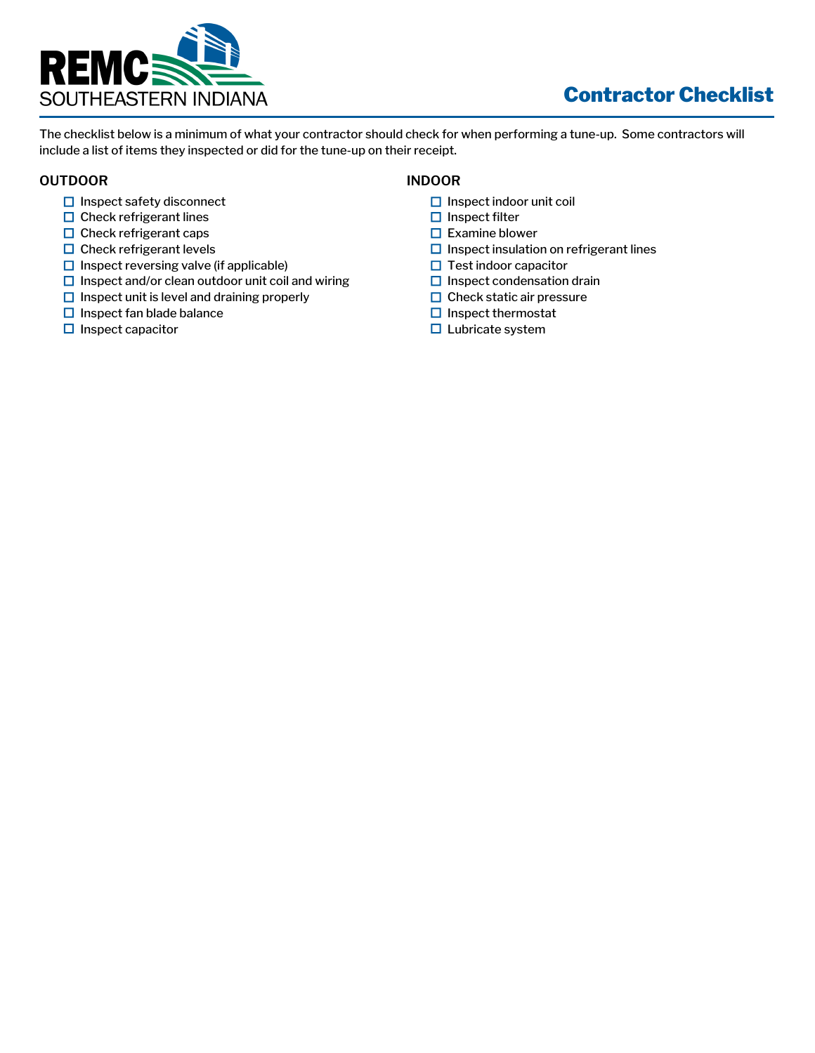

# Contractor Checklist

The checklist below is a minimum of what your contractor should check for when performing a tune-up. Some contractors will include a list of items they inspected or did for the tune-up on their receipt.

### **OUTDOOR**

- $\Box$  Inspect safety disconnect
- $\Box$  Check refrigerant lines
- $\Box$  Check refrigerant caps
- $\Box$  Check refrigerant levels
- $\Box$  Inspect reversing valve (if applicable)
- $\square$  Inspect and/or clean outdoor unit coil and wiring
- $\Box$  Inspect unit is level and draining properly
- $\Box$  Inspect fan blade balance
- $\Box$  Inspect capacitor

### **INDOOR**

- $\Box$  Inspect indoor unit coil
- $\Box$  Inspect filter
- $\Box$  Examine blower
- $\Box$  Inspect insulation on refrigerant lines
- $\Box$  Test indoor capacitor
- $\Box$  Inspect condensation drain
- $\Box$  Check static air pressure
- $\Box$  Inspect thermostat
- $\square$  Lubricate system